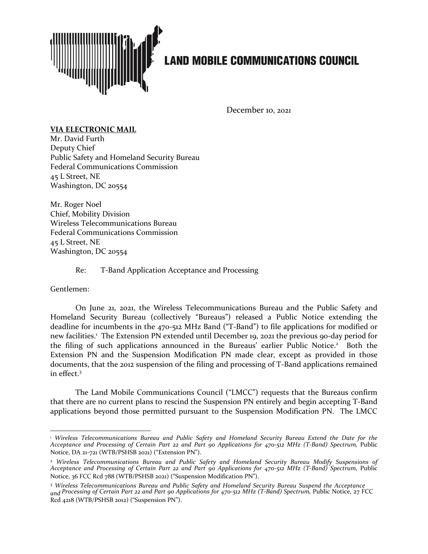

## **LAND MOBILE COMMUNICATIONS COUNCIL**

December 10, 2021

## **VIA ELECTRONIC MAIL**

Mr. David Furth Deputy Chief Public Safety and Homeland Security Bureau Federal Communications Commission 45 L Street, NE Washington, DC 20554

Mr. Roger Noel Chief, Mobility Division Wireless Telecommunications Bureau Federal Communications Commission 45 L Street, NE Washington, DC 20554

Re: T-Band Application Acceptance and Processing

Gentlemen:

On June 21, 2021, the Wireless Telecommunications Bureau and the Public Safety and Homeland Security Bureau (collectively "Bureaus") released a Public Notice extending the deadline for incumbents in the 470-512 MHz Band ("T-Band") to file applications for modified or new facilities.<sup>1</sup> The Extension PN extended until December 19, 2021 the previous 90-day period for the filing of such applications announced in the Bureaus' earlier Public Notice.<sup>2</sup> Both the Extension PN and the Suspension Modification PN made clear, except as provided in those documents, that the 2012 suspension of the filing and processing of T-Band applications remained in effect.<sup>3</sup>

The Land Mobile Communications Council ("LMCC") requests that the Bureaus confirm that there are no current plans to rescind the Suspension PN entirely and begin accepting T-Band applications beyond those permitted pursuant to the Suspension Modification PN. The LMCC

<sup>1</sup> *Wireless Telecommunications Bureau and Public Safety and Homeland Security Bureau Extend the Date for the Acceptance and Processing of Certain Part 22 and Part 90 Applications for 470-512 MHz (T-Band) Spectrum,* Public Notice, DA 21-721 (WTB/PSHSB 2021) ("Extension PN").

<sup>2</sup> *Wireless Telecommunications Bureau and Public Safety and Homeland Security Bureau Modify Suspensions of Acceptance and Processing of Certain Part 22 and Part 90 Applications for 470-512 MHz (T-Band) Spectrum,* Public Notice, 36 FCC Rcd 788 (WTB/PSHSB 2021) ("Suspension Modification PN").

<sup>3</sup> *Wireless Telecommunications Bureau and Public Safety and Homeland Security Bureau Suspend the Acceptance and Processing of Certain Part 22 and Part 90 Applications for 470-512 MHz (T-Band) Spectrum,* Public Notice, 27 FCC Rcd 4218 (WTB/PSHSB 2012) ("Suspension PN").